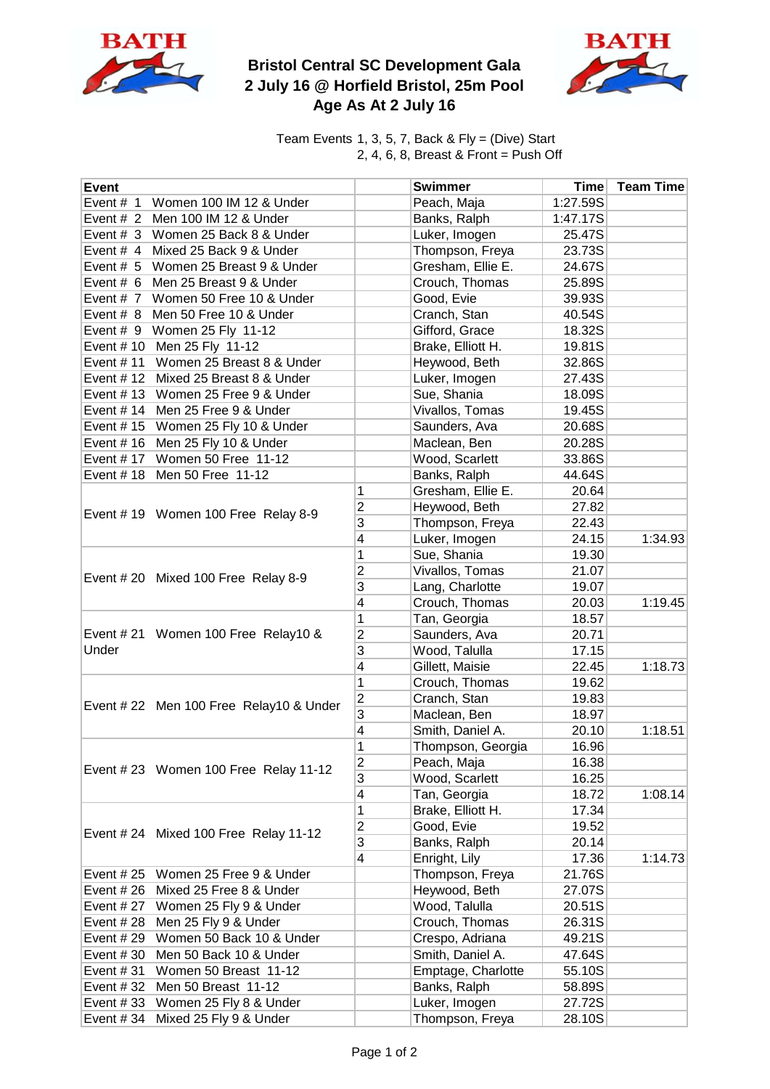

## **Bristol Central SC Development Gala 2 July 16 @ Horfield Bristol, 25m Pool Age As At 2 July 16**



Team Events 1, 3, 5, 7, Back & Fly = (Dive) Start 2, 4, 6, 8, Breast & Front = Push Off

| <b>Event</b>                                 |                         | <b>Swimmer</b>     | <b>Time</b> | <b>Team Time</b> |
|----------------------------------------------|-------------------------|--------------------|-------------|------------------|
| Event # 1 Women 100 IM 12 & Under            |                         | Peach, Maja        | 1:27.59S    |                  |
| Event # 2 Men 100 IM 12 & Under              |                         | Banks, Ralph       | 1:47.17S    |                  |
| Event # 3 Women 25 Back 8 & Under            |                         | Luker, Imogen      | 25.47S      |                  |
| Event # 4 Mixed 25 Back 9 & Under            |                         | Thompson, Freya    | 23.73S      |                  |
| Event # 5 Women 25 Breast 9 & Under          |                         | Gresham, Ellie E.  | 24.67S      |                  |
| Event # 6 Men 25 Breast 9 & Under            |                         | Crouch, Thomas     | 25.89S      |                  |
| Event # 7 Women 50 Free 10 & Under           |                         | Good, Evie         | 39.93S      |                  |
| Event # 8 Men 50 Free 10 & Under             |                         | Cranch, Stan       | 40.54S      |                  |
| Event # 9 Women 25 Fly 11-12                 |                         | Gifford, Grace     | 18.32S      |                  |
| Event # 10 Men 25 Fly 11-12                  |                         | Brake, Elliott H.  | 19.81S      |                  |
| Event #11 Women 25 Breast 8 & Under          |                         | Heywood, Beth      | 32.86S      |                  |
| Event #12 Mixed 25 Breast 8 & Under          |                         | Luker, Imogen      | 27.43S      |                  |
| Event #13 Women 25 Free 9 & Under            |                         | Sue, Shania        | 18.09S      |                  |
| Event #14 Men 25 Free 9 & Under              |                         | Vivallos, Tomas    | 19.45S      |                  |
| Event #15 Women 25 Fly 10 & Under            |                         | Saunders, Ava      | 20.68S      |                  |
| Event #16 Men 25 Fly 10 & Under              |                         | Maclean, Ben       | 20.28S      |                  |
| Event # 17 Women 50 Free 11-12               |                         | Wood, Scarlett     | 33.86S      |                  |
| Event #18 Men 50 Free 11-12                  |                         | Banks, Ralph       | 44.64S      |                  |
|                                              | 1                       | Gresham, Ellie E.  | 20.64       |                  |
|                                              | $\overline{2}$          | Heywood, Beth      | 27.82       |                  |
| Event #19 Women 100 Free Relay 8-9           | 3                       | Thompson, Freya    | 22.43       |                  |
|                                              | $\overline{\mathbf{4}}$ | Luker, Imogen      | 24.15       | 1:34.93          |
|                                              | 1                       | Sue, Shania        | 19.30       |                  |
|                                              | $\overline{2}$          | Vivallos, Tomas    | 21.07       |                  |
| Event #20 Mixed 100 Free Relay 8-9           | 3                       | Lang, Charlotte    | 19.07       |                  |
|                                              | $\overline{\mathbf{4}}$ | Crouch, Thomas     | 20.03       | 1:19.45          |
| Event # 21 Women 100 Free Relay10 &<br>Under | 1                       | Tan, Georgia       | 18.57       |                  |
|                                              | $\overline{2}$          | Saunders, Ava      | 20.71       |                  |
|                                              | 3                       | Wood, Talulla      | 17.15       |                  |
|                                              | $\overline{\mathbf{4}}$ | Gillett, Maisie    | 22.45       | 1:18.73          |
| Event #22 Men 100 Free Relay10 & Under       | $\mathbf 1$             | Crouch, Thomas     | 19.62       |                  |
|                                              | $\overline{2}$          | Cranch, Stan       | 19.83       |                  |
|                                              | 3                       | Maclean, Ben       | 18.97       |                  |
|                                              | 4                       | Smith, Daniel A.   | 20.10       | 1:18.51          |
|                                              | 1                       | Thompson, Georgia  | 16.96       |                  |
|                                              | $\overline{\mathbf{c}}$ | Peach, Maja        | 16.38       |                  |
| Event # 23 Women 100 Free Relay 11-12        | 3                       | Wood, Scarlett     | 16.25       |                  |
|                                              | 4                       | Tan, Georgia       | 18.72       | 1:08.14          |
| Event # 24 Mixed 100 Free Relay 11-12        | 1                       | Brake, Elliott H.  | 17.34       |                  |
|                                              | $\overline{c}$          | Good, Evie         | 19.52       |                  |
|                                              | 3                       | Banks, Ralph       | 20.14       |                  |
|                                              | $\overline{4}$          | Enright, Lily      | 17.36       | 1:14.73          |
| Event $#25$<br>Women 25 Free 9 & Under       |                         | Thompson, Freya    | 21.76S      |                  |
| Event #26 Mixed 25 Free 8 & Under            |                         | Heywood, Beth      | 27.07S      |                  |
| Event #27 Women 25 Fly 9 & Under             |                         | Wood, Talulla      | 20.51S      |                  |
| Men 25 Fly 9 & Under<br>Event # 28           |                         | Crouch, Thomas     | 26.31S      |                  |
| Event #29 Women 50 Back 10 & Under           |                         | Crespo, Adriana    | 49.21S      |                  |
| Event #30 Men 50 Back 10 & Under             |                         | Smith, Daniel A.   | 47.64S      |                  |
| Event #31 Women 50 Breast 11-12              |                         | Emptage, Charlotte | 55.10S      |                  |
| Event #32 Men 50 Breast 11-12                |                         | Banks, Ralph       | 58.89S      |                  |
| Event #33 Women 25 Fly 8 & Under             |                         | Luker, Imogen      | 27.72S      |                  |
|                                              |                         |                    |             |                  |
| Event #34 Mixed 25 Fly 9 & Under             |                         | Thompson, Freya    | 28.10S      |                  |